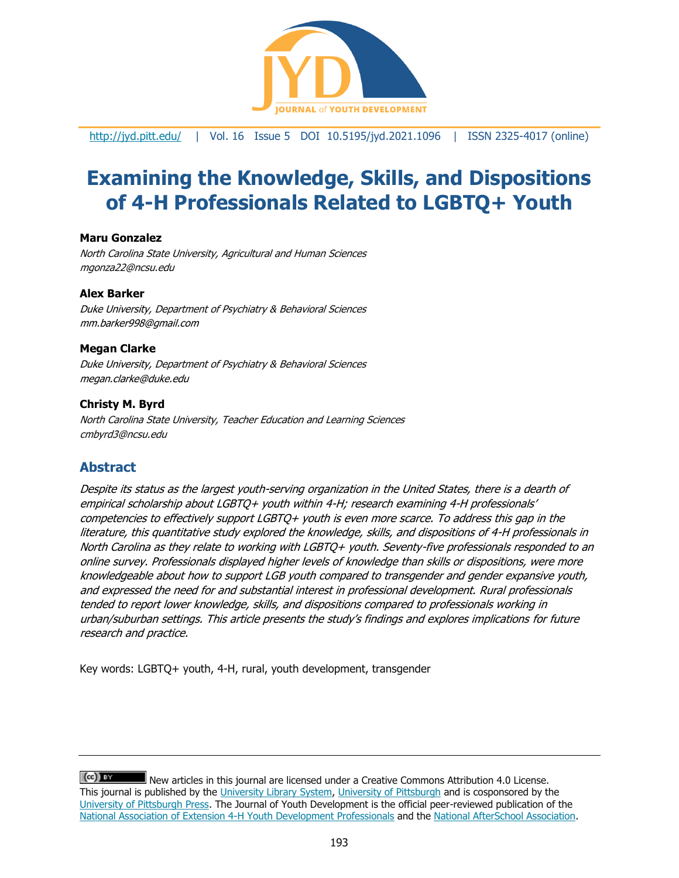

<http://jyd.pitt.edu/> | Vol. 16 Issue 5 DOI 10.5195/jyd.2021.1096 | ISSN 2325-4017 (online)

# **Examining the Knowledge, Skills, and Dispositions of 4-H Professionals Related to LGBTQ+ Youth**

### **Maru Gonzalez**

North Carolina State University, Agricultural and Human Sciences [mgonza22@ncsu.edu](mailto:mgonza22@ncsu.edu)

#### **Alex Barker**

Duke University, Department of Psychiatry & Behavioral Sciences mm.barker998@gmail.com

### **Megan Clarke**

Duke University, Department of Psychiatry & Behavioral Sciences megan.clarke@duke.edu

#### **Christy M. Byrd**

North Carolina State University, Teacher Education and Learning Sciences cmbyrd3@ncsu.edu

# **Abstract**

Despite its status as the largest youth-serving organization in the United States, there is a dearth of empirical scholarship about LGBTQ+ youth within 4-H; research examining 4-H professionals' competencies to effectively support LGBTQ+ youth is even more scarce. To address this gap in the literature, this quantitative study explored the knowledge, skills, and dispositions of 4-H professionals in North Carolina as they relate to working with LGBTQ+ youth. Seventy-five professionals responded to an online survey. Professionals displayed higher levels of knowledge than skills or dispositions, were more knowledgeable about how to support LGB youth compared to transgender and gender expansive youth, and expressed the need for and substantial interest in professional development. Rural professionals tended to report lower knowledge, skills, and dispositions compared to professionals working in urban/suburban settings. This article presents the study's findings and explores implications for future research and practice.

Key words: LGBTQ+ youth, 4-H, rural, youth development, transgender

 $(cc)$  BY New articles in this journal are licensed under a Creative Commons Attribution 4.0 License. This journal is published by the [University Library System,](http://www.library.pitt.edu/) [University of Pittsburgh](http://www.pitt.edu/) and is cosponsored by the [University of Pittsburgh Press.](http://www.upress.pitt.edu/upressIndex.aspx) The Journal of Youth Development is the official peer-reviewed publication of the [National Association of Extension 4-H Youth Development Professionals](http://www.nae4ha.com/) and the [National AfterSchool Association.](http://naaweb.org/)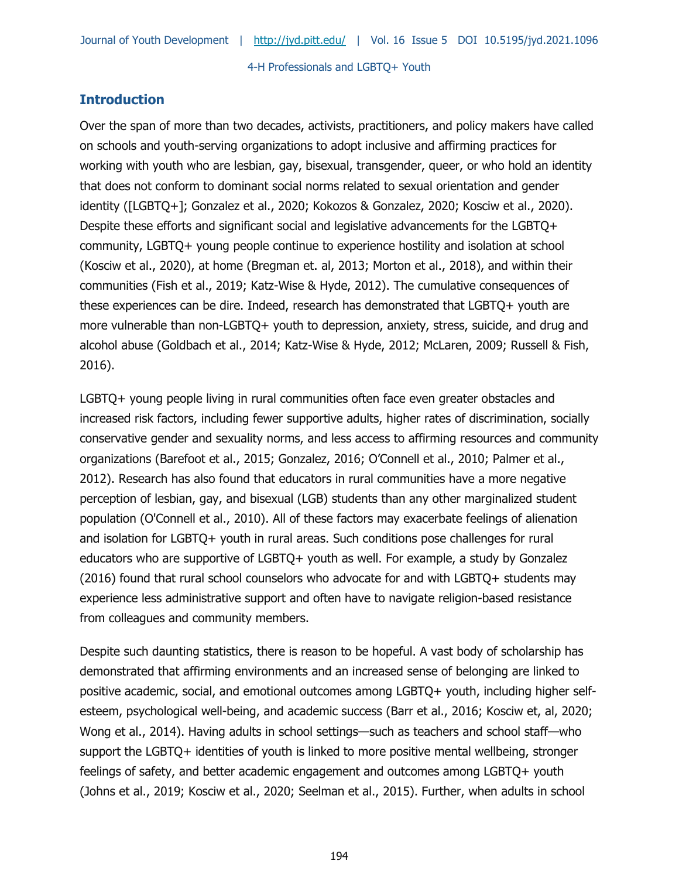# **Introduction**

Over the span of more than two decades, activists, practitioners, and policy makers have called on schools and youth-serving organizations to adopt inclusive and affirming practices for working with youth who are lesbian, gay, bisexual, transgender, queer, or who hold an identity that does not conform to dominant social norms related to sexual orientation and gender identity ([LGBTQ+]; Gonzalez et al., 2020; Kokozos & Gonzalez, 2020; Kosciw et al., 2020). Despite these efforts and significant social and legislative advancements for the LGBTQ+ community, LGBTQ+ young people continue to experience hostility and isolation at school (Kosciw et al., 2020), at home (Bregman et. al, 2013; Morton et al., 2018), and within their communities (Fish et al., 2019; Katz-Wise & Hyde, 2012). The cumulative consequences of these experiences can be dire. Indeed, research has demonstrated that LGBTQ+ youth are more vulnerable than non-LGBTQ+ youth to depression, anxiety, stress, suicide, and drug and alcohol abuse (Goldbach et al., 2014; Katz-Wise & Hyde, 2012; McLaren, 2009; Russell & Fish, 2016).

LGBTQ+ young people living in rural communities often face even greater obstacles and increased risk factors, including fewer supportive adults, higher rates of discrimination, socially conservative gender and sexuality norms, and less access to affirming resources and community organizations (Barefoot et al., 2015; Gonzalez, 2016; O'Connell et al., 2010; Palmer et al., 2012). Research has also found that educators in rural communities have a more negative perception of lesbian, gay, and bisexual (LGB) students than any other marginalized student population (O'Connell et al., 2010). All of these factors may exacerbate feelings of alienation and isolation for LGBTQ+ youth in rural areas. Such conditions pose challenges for rural educators who are supportive of LGBTQ+ youth as well. For example, a study by Gonzalez (2016) found that rural school counselors who advocate for and with LGBTQ+ students may experience less administrative support and often have to navigate religion-based resistance from colleagues and community members.

Despite such daunting statistics, there is reason to be hopeful. A vast body of scholarship has demonstrated that affirming environments and an increased sense of belonging are linked to positive academic, social, and emotional outcomes among LGBTQ+ youth, including higher selfesteem, psychological well-being, and academic success (Barr et al., 2016; Kosciw et, al, 2020; Wong et al., 2014). Having adults in school settings—such as teachers and school staff—who support the LGBTQ+ identities of youth is linked to more positive mental wellbeing, stronger feelings of safety, and better academic engagement and outcomes among LGBTQ+ youth (Johns et al., 2019; Kosciw et al., 2020; Seelman et al., 2015). Further, when adults in school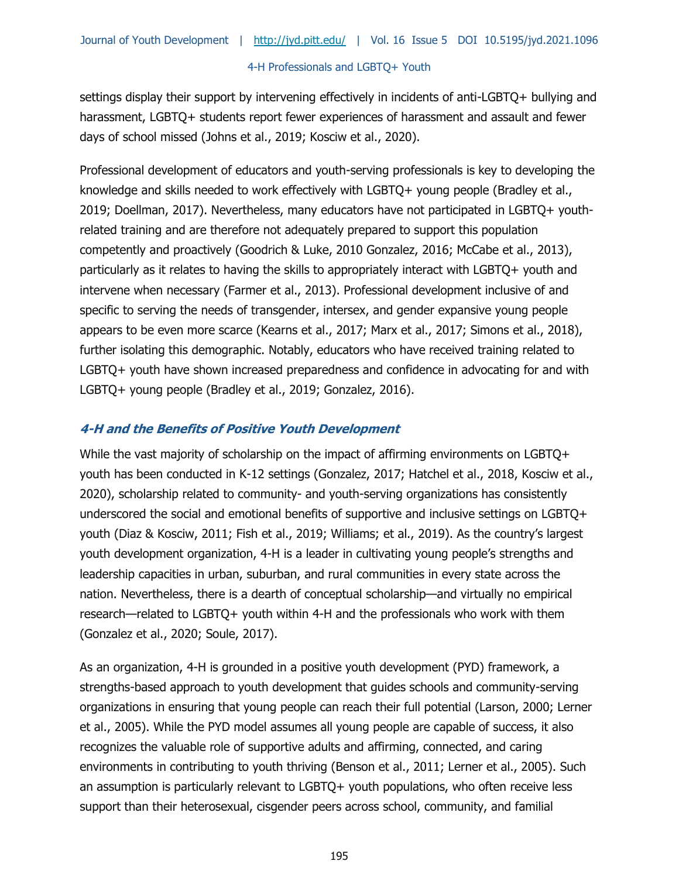settings display their support by intervening effectively in incidents of anti-LGBTQ+ bullying and harassment, LGBTQ+ students report fewer experiences of harassment and assault and fewer days of school missed (Johns et al., 2019; Kosciw et al., 2020).

Professional development of educators and youth-serving professionals is key to developing the knowledge and skills needed to work effectively with LGBTQ+ young people (Bradley et al., 2019; Doellman, 2017). Nevertheless, many educators have not participated in LGBTQ+ youthrelated training and are therefore not adequately prepared to support this population competently and proactively (Goodrich & Luke, 2010 Gonzalez, 2016; McCabe et al., 2013), particularly as it relates to having the skills to appropriately interact with LGBTQ+ youth and intervene when necessary (Farmer et al., 2013). Professional development inclusive of and specific to serving the needs of transgender, intersex, and gender expansive young people appears to be even more scarce (Kearns et al., 2017; Marx et al., 2017; Simons et al., 2018), further isolating this demographic. Notably, educators who have received training related to LGBTQ+ youth have shown increased preparedness and confidence in advocating for and with LGBTQ+ young people (Bradley et al., 2019; Gonzalez, 2016).

# **4-H and the Benefits of Positive Youth Development**

While the vast majority of scholarship on the impact of affirming environments on LGBTQ+ youth has been conducted in K-12 settings (Gonzalez, 2017; Hatchel et al., 2018, Kosciw et al., 2020), scholarship related to community- and youth-serving organizations has consistently underscored the social and emotional benefits of supportive and inclusive settings on LGBTQ+ youth (Diaz & Kosciw, 2011; Fish et al., 2019; Williams; et al., 2019). As the country's largest youth development organization, 4-H is a leader in cultivating young people's strengths and leadership capacities in urban, suburban, and rural communities in every state across the nation. Nevertheless, there is a dearth of conceptual scholarship—and virtually no empirical research—related to LGBTQ+ youth within 4-H and the professionals who work with them (Gonzalez et al., 2020; Soule, 2017).

As an organization, 4-H is grounded in a positive youth development (PYD) framework, a strengths-based approach to youth development that guides schools and community-serving organizations in ensuring that young people can reach their full potential (Larson, 2000; Lerner et al., 2005). While the PYD model assumes all young people are capable of success, it also recognizes the valuable role of supportive adults and affirming, connected, and caring environments in contributing to youth thriving (Benson et al., 2011; Lerner et al., 2005). Such an assumption is particularly relevant to LGBTQ+ youth populations, who often receive less support than their heterosexual, cisgender peers across school, community, and familial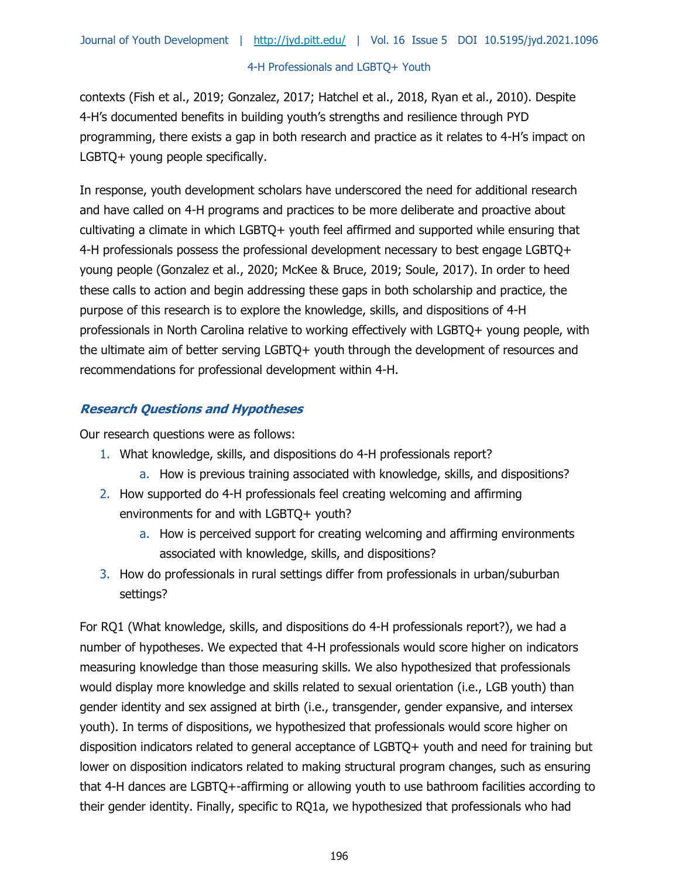contexts (Fish et al., 2019; Gonzalez, 2017; Hatchel et al., 2018, Ryan et al., 2010). Despite 4-H's documented benefits in building youth's strengths and resilience through PYD programming, there exists a gap in both research and practice as it relates to 4-H's impact on LGBTQ+ young people specifically.

In response, youth development scholars have underscored the need for additional research and have called on 4-H programs and practices to be more deliberate and proactive about cultivating a climate in which LGBTQ+ youth feel affirmed and supported while ensuring that 4-H professionals possess the professional development necessary to best engage LGBTQ+ young people (Gonzalez et al., 2020; McKee & Bruce, 2019; Soule, 2017). In order to heed these calls to action and begin addressing these gaps in both scholarship and practice, the purpose of this research is to explore the knowledge, skills, and dispositions of 4-H professionals in North Carolina relative to working effectively with LGBTQ+ young people, with the ultimate aim of better serving LGBTQ+ youth through the development of resources and recommendations for professional development within 4-H.

# **Research Questions and Hypotheses**

Our research questions were as follows:

- 1. What knowledge, skills, and dispositions do 4-H professionals report?
	- a. How is previous training associated with knowledge, skills, and dispositions?
- 2. How supported do 4-H professionals feel creating welcoming and affirming environments for and with LGBTQ+ youth?
	- a. How is perceived support for creating welcoming and affirming environments associated with knowledge, skills, and dispositions?
- 3. How do professionals in rural settings differ from professionals in urban/suburban settings?

For RQ1 (What knowledge, skills, and dispositions do 4-H professionals report?), we had a number of hypotheses. We expected that 4-H professionals would score higher on indicators measuring knowledge than those measuring skills. We also hypothesized that professionals would display more knowledge and skills related to sexual orientation (i.e., LGB youth) than gender identity and sex assigned at birth (i.e., transgender, gender expansive, and intersex youth). In terms of dispositions, we hypothesized that professionals would score higher on disposition indicators related to general acceptance of LGBTQ+ youth and need for training but lower on disposition indicators related to making structural program changes, such as ensuring that 4-H dances are LGBTQ+-affirming or allowing youth to use bathroom facilities according to their gender identity. Finally, specific to RQ1a, we hypothesized that professionals who had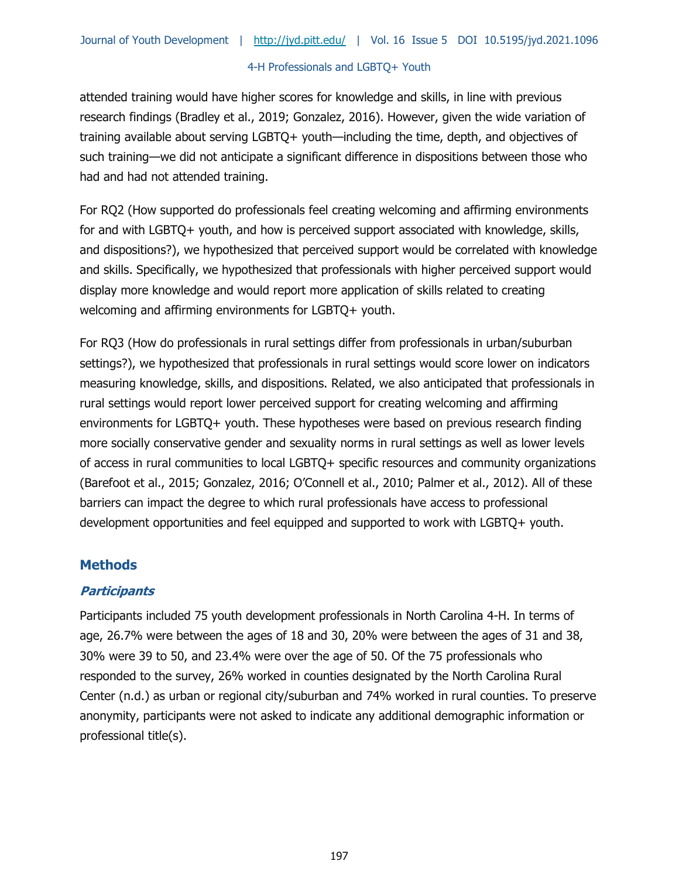attended training would have higher scores for knowledge and skills, in line with previous research findings (Bradley et al., 2019; Gonzalez, 2016). However, given the wide variation of training available about serving LGBTQ+ youth—including the time, depth, and objectives of such training—we did not anticipate a significant difference in dispositions between those who had and had not attended training.

For RQ2 (How supported do professionals feel creating welcoming and affirming environments for and with LGBTQ+ youth, and how is perceived support associated with knowledge, skills, and dispositions?), we hypothesized that perceived support would be correlated with knowledge and skills. Specifically, we hypothesized that professionals with higher perceived support would display more knowledge and would report more application of skills related to creating welcoming and affirming environments for LGBTQ+ youth.

For RQ3 (How do professionals in rural settings differ from professionals in urban/suburban settings?), we hypothesized that professionals in rural settings would score lower on indicators measuring knowledge, skills, and dispositions. Related, we also anticipated that professionals in rural settings would report lower perceived support for creating welcoming and affirming environments for LGBTQ+ youth. These hypotheses were based on previous research finding more socially conservative gender and sexuality norms in rural settings as well as lower levels of access in rural communities to local LGBTQ+ specific resources and community organizations (Barefoot et al., 2015; Gonzalez, 2016; O'Connell et al., 2010; Palmer et al., 2012). All of these barriers can impact the degree to which rural professionals have access to professional development opportunities and feel equipped and supported to work with LGBTQ+ youth.

# **Methods**

### **Participants**

Participants included 75 youth development professionals in North Carolina 4-H. In terms of age, 26.7% were between the ages of 18 and 30, 20% were between the ages of 31 and 38, 30% were 39 to 50, and 23.4% were over the age of 50. Of the 75 professionals who responded to the survey, 26% worked in counties designated by the North Carolina Rural Center (n.d.) as urban or regional city/suburban and 74% worked in rural counties. To preserve anonymity, participants were not asked to indicate any additional demographic information or professional title(s).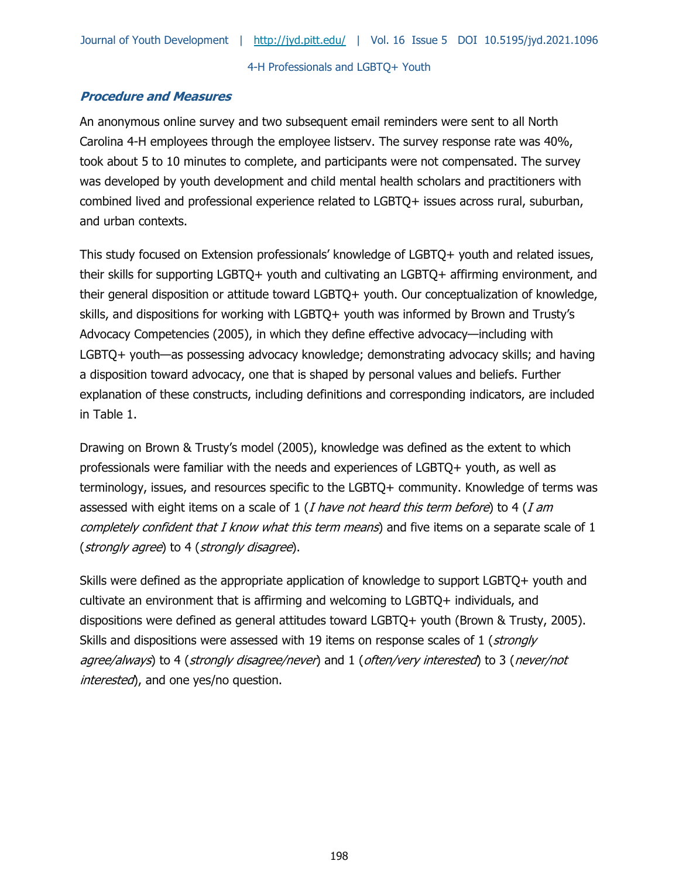# **Procedure and Measures**

An anonymous online survey and two subsequent email reminders were sent to all North Carolina 4-H employees through the employee listserv. The survey response rate was 40%, took about 5 to 10 minutes to complete, and participants were not compensated. The survey was developed by youth development and child mental health scholars and practitioners with combined lived and professional experience related to LGBTQ+ issues across rural, suburban, and urban contexts.

This study focused on Extension professionals' knowledge of LGBTQ+ youth and related issues, their skills for supporting LGBTQ+ youth and cultivating an LGBTQ+ affirming environment, and their general disposition or attitude toward LGBTQ+ youth. Our conceptualization of knowledge, skills, and dispositions for working with LGBTQ+ youth was informed by Brown and Trusty's Advocacy Competencies (2005), in which they define effective advocacy—including with LGBTQ+ youth—as possessing advocacy knowledge; demonstrating advocacy skills; and having a disposition toward advocacy, one that is shaped by personal values and beliefs. Further explanation of these constructs, including definitions and corresponding indicators, are included in Table 1.

Drawing on Brown & Trusty's model (2005), knowledge was defined as the extent to which professionals were familiar with the needs and experiences of LGBTQ+ youth, as well as terminology, issues, and resources specific to the LGBTQ+ community. Knowledge of terms was assessed with eight items on a scale of  $1$  (*I have not heard this term before*) to 4 (*I am* completely confident that I know what this term means) and five items on a separate scale of 1 (strongly agree) to 4 (strongly disagree).

Skills were defined as the appropriate application of knowledge to support LGBTQ+ youth and cultivate an environment that is affirming and welcoming to LGBTQ+ individuals, and dispositions were defined as general attitudes toward LGBTQ+ youth (Brown & Trusty, 2005). Skills and dispositions were assessed with 19 items on response scales of 1 (*strongly* agree/always) to 4 (strongly disagree/never) and 1 (often/very interested) to 3 (never/not interested), and one yes/no question.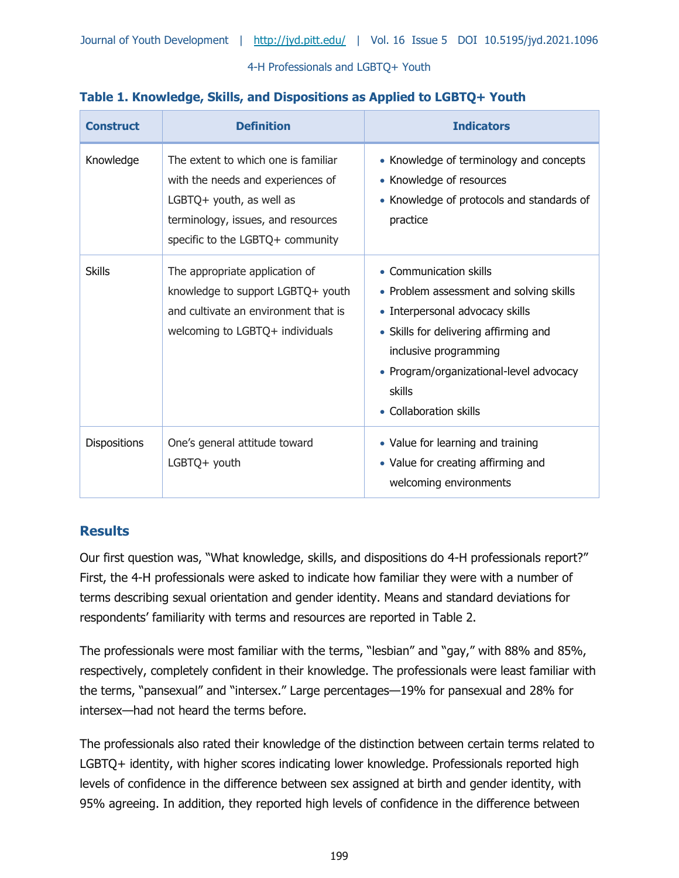| <b>Construct</b>    | <b>Definition</b>                                                                                                                                                              | <b>Indicators</b>                                                                                                                                                                                                                                     |
|---------------------|--------------------------------------------------------------------------------------------------------------------------------------------------------------------------------|-------------------------------------------------------------------------------------------------------------------------------------------------------------------------------------------------------------------------------------------------------|
| Knowledge           | The extent to which one is familiar<br>with the needs and experiences of<br>LGBTQ+ youth, as well as<br>terminology, issues, and resources<br>specific to the LGBTQ+ community | • Knowledge of terminology and concepts<br>• Knowledge of resources<br>• Knowledge of protocols and standards of<br>practice                                                                                                                          |
| <b>Skills</b>       | The appropriate application of<br>knowledge to support LGBTQ+ youth<br>and cultivate an environment that is<br>welcoming to LGBTQ+ individuals                                 | • Communication skills<br>• Problem assessment and solving skills<br>• Interpersonal advocacy skills<br>• Skills for delivering affirming and<br>inclusive programming<br>• Program/organizational-level advocacy<br>skills<br>• Collaboration skills |
| <b>Dispositions</b> | One's general attitude toward<br>LGBTQ+ youth                                                                                                                                  | • Value for learning and training<br>• Value for creating affirming and<br>welcoming environments                                                                                                                                                     |

# **Table 1. Knowledge, Skills, and Dispositions as Applied to LGBTQ+ Youth**

# **Results**

Our first question was, "What knowledge, skills, and dispositions do 4-H professionals report?" First, the 4-H professionals were asked to indicate how familiar they were with a number of terms describing sexual orientation and gender identity. Means and standard deviations for respondents' familiarity with terms and resources are reported in Table 2.

The professionals were most familiar with the terms, "lesbian" and "gay," with 88% and 85%, respectively, completely confident in their knowledge. The professionals were least familiar with the terms, "pansexual" and "intersex." Large percentages—19% for pansexual and 28% for intersex—had not heard the terms before.

The professionals also rated their knowledge of the distinction between certain terms related to LGBTQ+ identity, with higher scores indicating lower knowledge. Professionals reported high levels of confidence in the difference between sex assigned at birth and gender identity, with 95% agreeing. In addition, they reported high levels of confidence in the difference between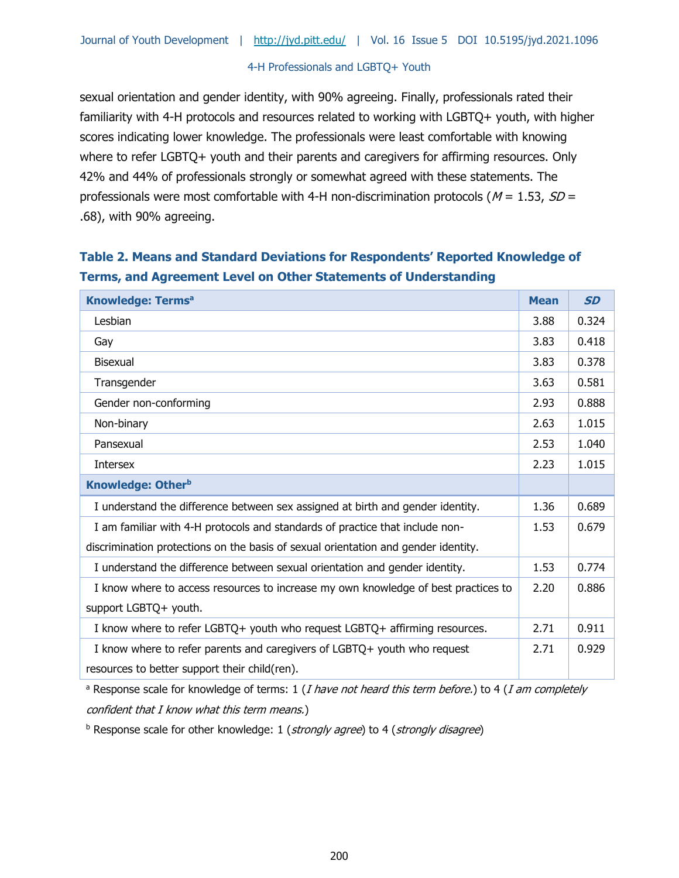sexual orientation and gender identity, with 90% agreeing. Finally, professionals rated their familiarity with 4-H protocols and resources related to working with LGBTQ+ youth, with higher scores indicating lower knowledge. The professionals were least comfortable with knowing where to refer LGBTQ+ youth and their parents and caregivers for affirming resources. Only 42% and 44% of professionals strongly or somewhat agreed with these statements. The professionals were most comfortable with 4-H non-discrimination protocols ( $M = 1.53$ ,  $SD =$ .68), with 90% agreeing.

# **Table 2. Means and Standard Deviations for Respondents' Reported Knowledge of Terms, and Agreement Level on Other Statements of Understanding**

| <b>Knowledge: Termsa</b>                                                           |      | <b>SD</b> |
|------------------------------------------------------------------------------------|------|-----------|
| Lesbian                                                                            | 3.88 | 0.324     |
| Gay                                                                                | 3.83 | 0.418     |
| Bisexual                                                                           | 3.83 | 0.378     |
| Transgender                                                                        | 3.63 | 0.581     |
| Gender non-conforming                                                              | 2.93 | 0.888     |
| Non-binary                                                                         | 2.63 | 1.015     |
| Pansexual                                                                          | 2.53 | 1.040     |
| <b>Intersex</b>                                                                    | 2.23 | 1.015     |
| <b>Knowledge: Otherb</b>                                                           |      |           |
| I understand the difference between sex assigned at birth and gender identity.     | 1.36 | 0.689     |
| I am familiar with 4-H protocols and standards of practice that include non-       |      | 0.679     |
| discrimination protections on the basis of sexual orientation and gender identity. |      |           |
| I understand the difference between sexual orientation and gender identity.        |      | 0.774     |
| I know where to access resources to increase my own knowledge of best practices to | 2.20 | 0.886     |
| support LGBTQ+ youth.                                                              |      |           |
| I know where to refer LGBTQ+ youth who request LGBTQ+ affirming resources.         |      | 0.911     |
| I know where to refer parents and caregivers of LGBTQ+ youth who request           | 2.71 | 0.929     |
| resources to better support their child(ren).                                      |      |           |

<sup>a</sup> Response scale for knowledge of terms: 1 (*I have not heard this term before.*) to 4 (*I am completely* confident that I know what this term means.)

 $b$  Response scale for other knowledge: 1 (strongly agree) to 4 (strongly disagree)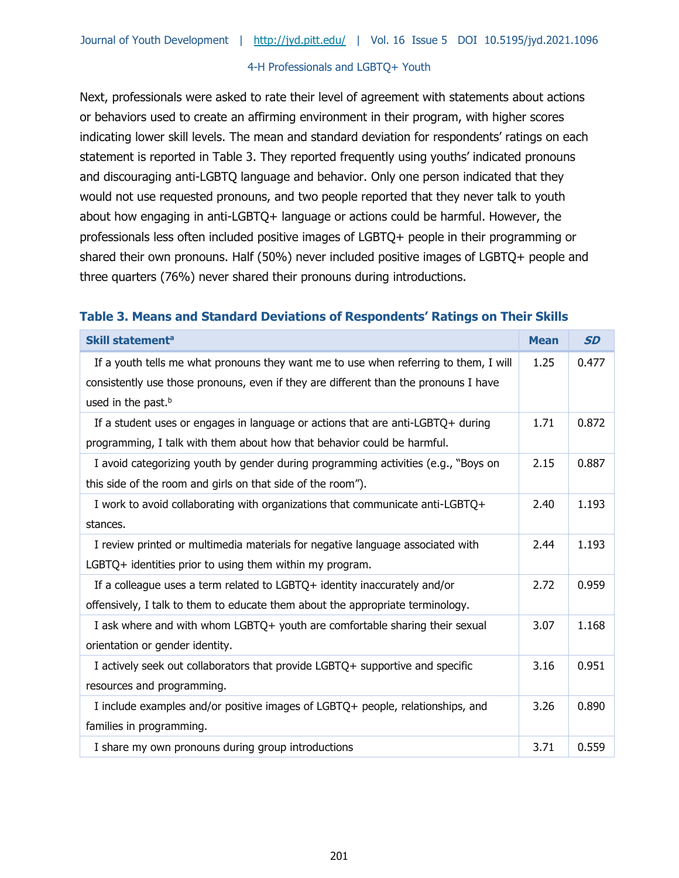Next, professionals were asked to rate their level of agreement with statements about actions or behaviors used to create an affirming environment in their program, with higher scores indicating lower skill levels. The mean and standard deviation for respondents' ratings on each statement is reported in Table 3. They reported frequently using youths' indicated pronouns and discouraging anti-LGBTQ language and behavior. Only one person indicated that they would not use requested pronouns, and two people reported that they never talk to youth about how engaging in anti-LGBTQ+ language or actions could be harmful. However, the professionals less often included positive images of LGBTQ+ people in their programming or shared their own pronouns. Half (50%) never included positive images of LGBTQ+ people and three quarters (76%) never shared their pronouns during introductions.

### **Table 3. Means and Standard Deviations of Respondents' Ratings on Their Skills**

| Skill statement <sup>a</sup>                                                                                                                                                                                   |      | <b>SD</b> |
|----------------------------------------------------------------------------------------------------------------------------------------------------------------------------------------------------------------|------|-----------|
| If a youth tells me what pronouns they want me to use when referring to them, I will<br>consistently use those pronouns, even if they are different than the pronouns I have<br>used in the past. <sup>b</sup> | 1.25 | 0.477     |
| If a student uses or engages in language or actions that are anti-LGBTQ+ during<br>programming, I talk with them about how that behavior could be harmful.                                                     | 1.71 | 0.872     |
| I avoid categorizing youth by gender during programming activities (e.g., "Boys on<br>this side of the room and girls on that side of the room").                                                              | 2.15 | 0.887     |
| I work to avoid collaborating with organizations that communicate anti-LGBTQ+<br>stances.                                                                                                                      | 2.40 | 1.193     |
| I review printed or multimedia materials for negative language associated with<br>LGBTQ+ identities prior to using them within my program.                                                                     | 2.44 | 1.193     |
| If a colleague uses a term related to $LGBTQ+$ identity inaccurately and/or<br>offensively, I talk to them to educate them about the appropriate terminology.                                                  | 2.72 | 0.959     |
| I ask where and with whom LGBTQ+ youth are comfortable sharing their sexual<br>orientation or gender identity.                                                                                                 | 3.07 | 1.168     |
| I actively seek out collaborators that provide LGBTQ+ supportive and specific<br>resources and programming.                                                                                                    | 3.16 | 0.951     |
| I include examples and/or positive images of LGBTQ+ people, relationships, and<br>families in programming.                                                                                                     | 3.26 | 0.890     |
| I share my own pronouns during group introductions                                                                                                                                                             | 3.71 | 0.559     |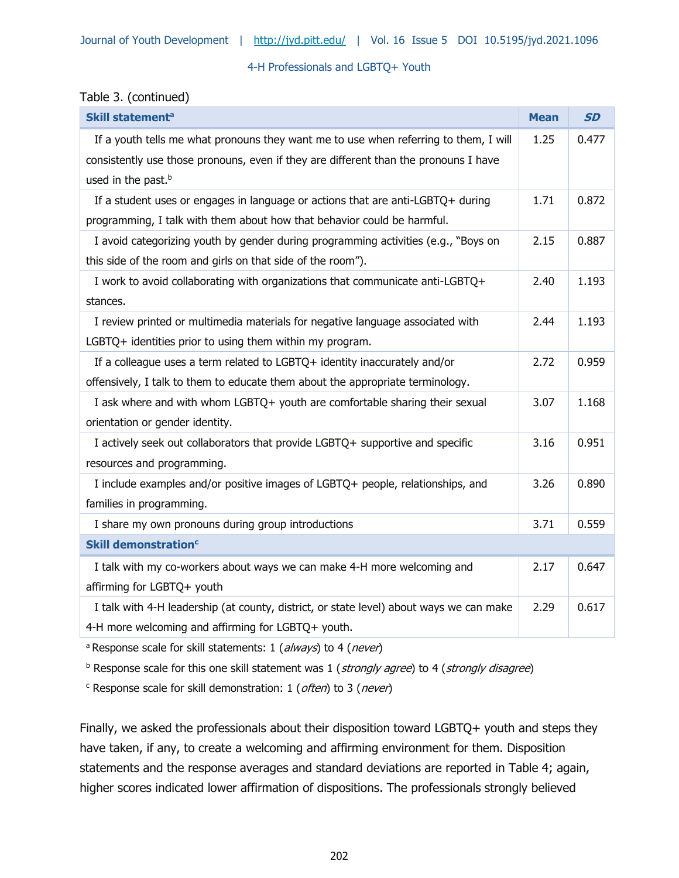### Table 3. (continued)

| Skill statement <sup>a</sup>                                                            |      | <b>SD</b> |
|-----------------------------------------------------------------------------------------|------|-----------|
| If a youth tells me what pronouns they want me to use when referring to them, I will    | 1.25 | 0.477     |
| consistently use those pronouns, even if they are different than the pronouns I have    |      |           |
| used in the past. <sup>b</sup>                                                          |      |           |
| If a student uses or engages in language or actions that are anti-LGBTQ+ during         | 1.71 | 0.872     |
| programming, I talk with them about how that behavior could be harmful.                 |      |           |
| I avoid categorizing youth by gender during programming activities (e.g., "Boys on      | 2.15 | 0.887     |
| this side of the room and girls on that side of the room").                             |      |           |
| I work to avoid collaborating with organizations that communicate anti-LGBTQ+           | 2.40 | 1.193     |
| stances.                                                                                |      |           |
| I review printed or multimedia materials for negative language associated with          | 2.44 | 1.193     |
| LGBTQ+ identities prior to using them within my program.                                |      |           |
| If a colleague uses a term related to LGBTQ+ identity inaccurately and/or               | 2.72 | 0.959     |
| offensively, I talk to them to educate them about the appropriate terminology.          |      |           |
| I ask where and with whom LGBTQ+ youth are comfortable sharing their sexual             | 3.07 | 1.168     |
| orientation or gender identity.                                                         |      |           |
| I actively seek out collaborators that provide LGBTQ+ supportive and specific           | 3.16 | 0.951     |
| resources and programming.                                                              |      |           |
| I include examples and/or positive images of LGBTQ+ people, relationships, and          | 3.26 | 0.890     |
| families in programming.                                                                |      |           |
| I share my own pronouns during group introductions                                      | 3.71 | 0.559     |
| <b>Skill demonstration<sup>c</sup></b>                                                  |      |           |
| I talk with my co-workers about ways we can make 4-H more welcoming and                 | 2.17 | 0.647     |
| affirming for LGBTQ+ youth                                                              |      |           |
| I talk with 4-H leadership (at county, district, or state level) about ways we can make | 2.29 | 0.617     |
| 4-H more welcoming and affirming for LGBTQ+ youth.                                      |      |           |

<sup>a</sup> Response scale for skill statements: 1 (always) to 4 (never)

 $<sup>b</sup>$  Response scale for this one skill statement was 1 (strongly agree) to 4 (strongly disagree)</sup>

<sup>c</sup> Response scale for skill demonstration: 1 (often) to 3 (never)

Finally, we asked the professionals about their disposition toward LGBTQ+ youth and steps they have taken, if any, to create a welcoming and affirming environment for them. Disposition statements and the response averages and standard deviations are reported in Table 4; again, higher scores indicated lower affirmation of dispositions. The professionals strongly believed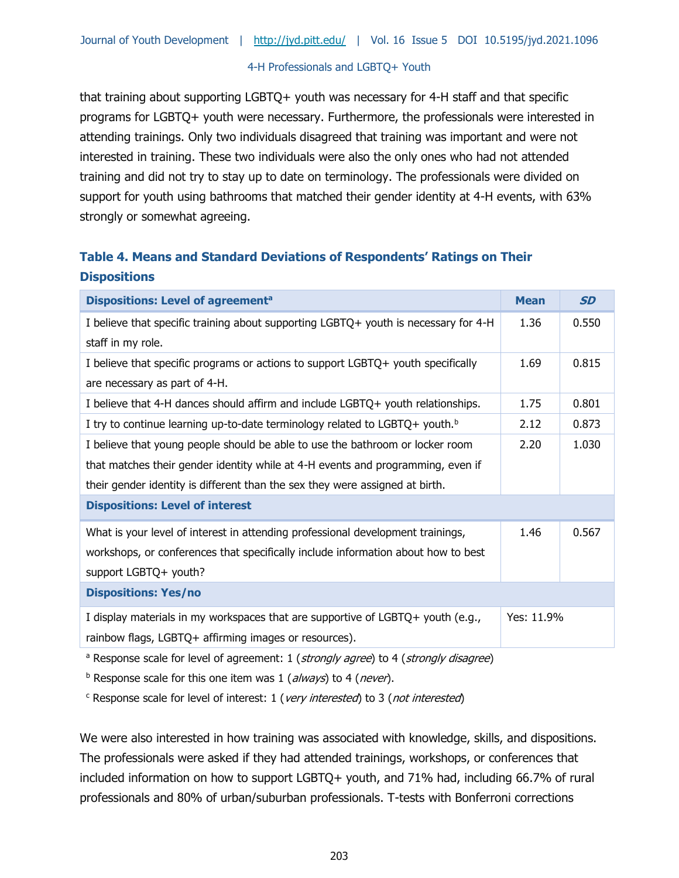that training about supporting LGBTQ+ youth was necessary for 4-H staff and that specific programs for LGBTQ+ youth were necessary. Furthermore, the professionals were interested in attending trainings. Only two individuals disagreed that training was important and were not interested in training. These two individuals were also the only ones who had not attended training and did not try to stay up to date on terminology. The professionals were divided on support for youth using bathrooms that matched their gender identity at 4-H events, with 63% strongly or somewhat agreeing.

# **Table 4. Means and Standard Deviations of Respondents' Ratings on Their Dispositions**

| Dispositions: Level of agreement <sup>a</sup>                                                                     |      | <b>SD</b>  |
|-------------------------------------------------------------------------------------------------------------------|------|------------|
| I believe that specific training about supporting LGBTQ+ youth is necessary for 4-H<br>staff in my role.          | 1.36 | 0.550      |
| I believe that specific programs or actions to support LGBTQ+ youth specifically<br>are necessary as part of 4-H. | 1.69 | 0.815      |
| I believe that 4-H dances should affirm and include LGBTQ+ youth relationships.                                   | 1.75 | 0.801      |
| I try to continue learning up-to-date terminology related to $LGBTQ +$ youth. <sup>b</sup>                        | 2.12 | 0.873      |
| I believe that young people should be able to use the bathroom or locker room                                     | 2.20 | 1.030      |
| that matches their gender identity while at 4-H events and programming, even if                                   |      |            |
| their gender identity is different than the sex they were assigned at birth.                                      |      |            |
| <b>Dispositions: Level of interest</b>                                                                            |      |            |
| What is your level of interest in attending professional development trainings,                                   | 1.46 | 0.567      |
| workshops, or conferences that specifically include information about how to best                                 |      |            |
| support LGBTQ+ youth?                                                                                             |      |            |
| <b>Dispositions: Yes/no</b>                                                                                       |      |            |
| I display materials in my workspaces that are supportive of LGBTQ+ youth (e.g.,                                   |      | Yes: 11.9% |
| rainbow flags, LGBTQ+ affirming images or resources).                                                             |      |            |
| <sup>a</sup> Response scale for level of agreement: 1 (strongly agree) to 4 (strongly disagree)                   |      |            |

 $<sup>b</sup>$  Response scale for this one item was 1 (always) to 4 (never).</sup>

 $c$  Response scale for level of interest: 1 (*very interested*) to 3 (*not interested*)

We were also interested in how training was associated with knowledge, skills, and dispositions. The professionals were asked if they had attended trainings, workshops, or conferences that included information on how to support LGBTQ+ youth, and 71% had, including 66.7% of rural professionals and 80% of urban/suburban professionals. T-tests with Bonferroni corrections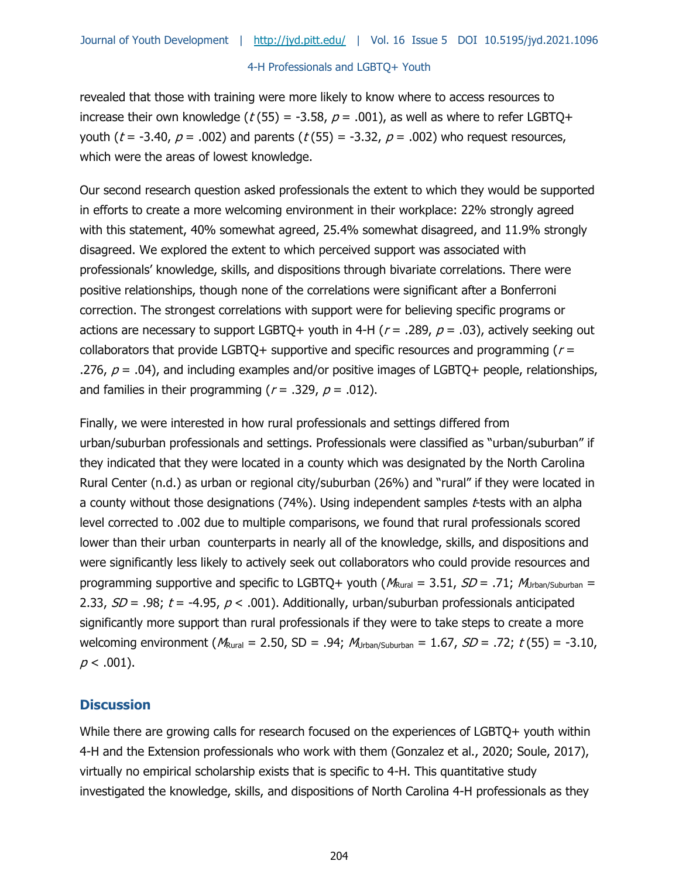revealed that those with training were more likely to know where to access resources to increase their own knowledge ( $t$  (55) = -3.58,  $p = .001$ ), as well as where to refer LGBTQ+ youth ( $t = -3.40$ ,  $p = .002$ ) and parents ( $t(55) = -3.32$ ,  $p = .002$ ) who request resources, which were the areas of lowest knowledge.

Our second research question asked professionals the extent to which they would be supported in efforts to create a more welcoming environment in their workplace: 22% strongly agreed with this statement, 40% somewhat agreed, 25.4% somewhat disagreed, and 11.9% strongly disagreed. We explored the extent to which perceived support was associated with professionals' knowledge, skills, and dispositions through bivariate correlations. There were positive relationships, though none of the correlations were significant after a Bonferroni correction. The strongest correlations with support were for believing specific programs or actions are necessary to support LGBTQ+ youth in 4-H ( $r = .289$ ,  $p = .03$ ), actively seeking out collaborators that provide LGBTQ+ supportive and specific resources and programming ( $r =$ .276,  $p = .04$ ), and including examples and/or positive images of LGBTQ+ people, relationships, and families in their programming ( $r = .329$ ,  $p = .012$ ).

Finally, we were interested in how rural professionals and settings differed from urban/suburban professionals and settings. Professionals were classified as "urban/suburban" if they indicated that they were located in a county which was designated by the North Carolina Rural Center (n.d.) as urban or regional city/suburban (26%) and "rural" if they were located in a county without those designations  $(74%)$ . Using independent samples *t*-tests with an alpha level corrected to .002 due to multiple comparisons, we found that rural professionals scored lower than their urban counterparts in nearly all of the knowledge, skills, and dispositions and were significantly less likely to actively seek out collaborators who could provide resources and programming supportive and specific to LGBTQ+ youth ( $M_{\text{Rural}} = 3.51$ ,  $SD = .71$ ;  $M_{\text{Jrban/Suburban}} =$ 2.33,  $SD = .98$ ;  $t = -4.95$ ,  $p < .001$ ). Additionally, urban/suburban professionals anticipated significantly more support than rural professionals if they were to take steps to create a more welcoming environment ( $M_{\text{Rural}} = 2.50$ , SD = .94;  $M_{\text{Urban/Suburban}} = 1.67$ , SD = .72;  $t(55) = -3.10$ ,  $p < .001$ ).

### **Discussion**

While there are growing calls for research focused on the experiences of LGBTQ+ youth within 4-H and the Extension professionals who work with them (Gonzalez et al., 2020; Soule, 2017), virtually no empirical scholarship exists that is specific to 4-H. This quantitative study investigated the knowledge, skills, and dispositions of North Carolina 4-H professionals as they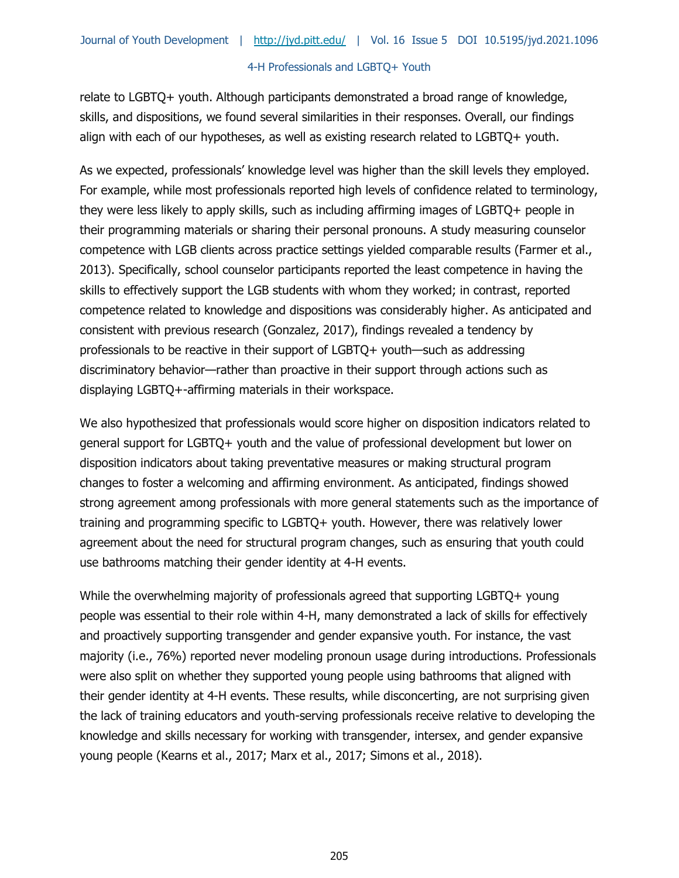relate to LGBTQ+ youth. Although participants demonstrated a broad range of knowledge, skills, and dispositions, we found several similarities in their responses. Overall, our findings align with each of our hypotheses, as well as existing research related to LGBTQ+ youth.

As we expected, professionals' knowledge level was higher than the skill levels they employed. For example, while most professionals reported high levels of confidence related to terminology, they were less likely to apply skills, such as including affirming images of LGBTQ+ people in their programming materials or sharing their personal pronouns. A study measuring counselor competence with LGB clients across practice settings yielded comparable results (Farmer et al., 2013). Specifically, school counselor participants reported the least competence in having the skills to effectively support the LGB students with whom they worked; in contrast, reported competence related to knowledge and dispositions was considerably higher. As anticipated and consistent with previous research (Gonzalez, 2017), findings revealed a tendency by professionals to be reactive in their support of LGBTQ+ youth—such as addressing discriminatory behavior—rather than proactive in their support through actions such as displaying LGBTQ+-affirming materials in their workspace.

We also hypothesized that professionals would score higher on disposition indicators related to general support for LGBTQ+ youth and the value of professional development but lower on disposition indicators about taking preventative measures or making structural program changes to foster a welcoming and affirming environment. As anticipated, findings showed strong agreement among professionals with more general statements such as the importance of training and programming specific to LGBTQ+ youth. However, there was relatively lower agreement about the need for structural program changes, such as ensuring that youth could use bathrooms matching their gender identity at 4-H events.

While the overwhelming majority of professionals agreed that supporting LGBTQ+ young people was essential to their role within 4-H, many demonstrated a lack of skills for effectively and proactively supporting transgender and gender expansive youth. For instance, the vast majority (i.e., 76%) reported never modeling pronoun usage during introductions. Professionals were also split on whether they supported young people using bathrooms that aligned with their gender identity at 4-H events. These results, while disconcerting, are not surprising given the lack of training educators and youth-serving professionals receive relative to developing the knowledge and skills necessary for working with transgender, intersex, and gender expansive young people (Kearns et al., 2017; Marx et al., 2017; Simons et al., 2018).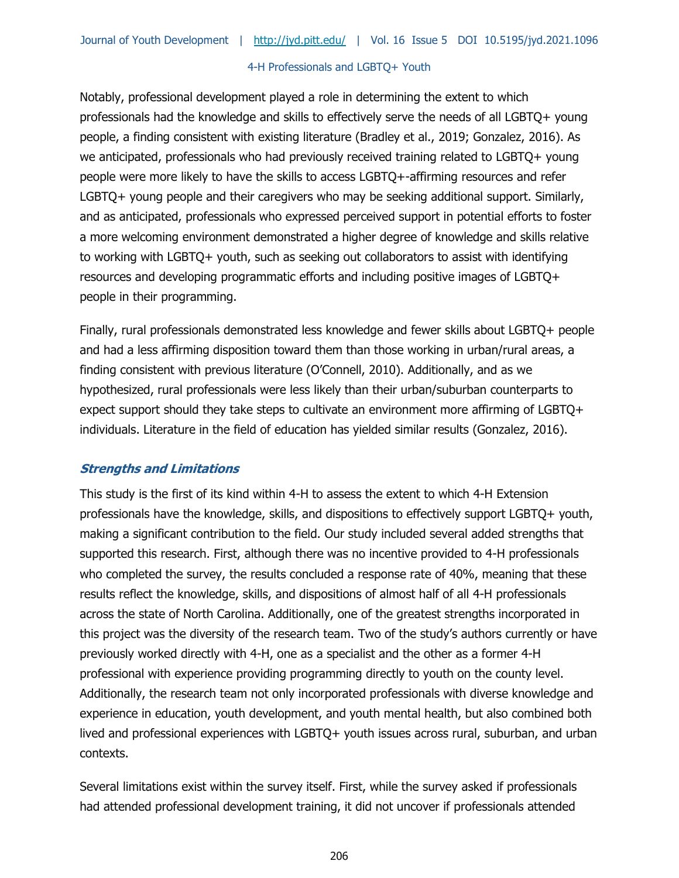Notably, professional development played a role in determining the extent to which professionals had the knowledge and skills to effectively serve the needs of all LGBTQ+ young people, a finding consistent with existing literature (Bradley et al., 2019; Gonzalez, 2016). As we anticipated, professionals who had previously received training related to LGBTQ+ young people were more likely to have the skills to access LGBTQ+-affirming resources and refer LGBTQ+ young people and their caregivers who may be seeking additional support. Similarly, and as anticipated, professionals who expressed perceived support in potential efforts to foster a more welcoming environment demonstrated a higher degree of knowledge and skills relative to working with LGBTQ+ youth, such as seeking out collaborators to assist with identifying resources and developing programmatic efforts and including positive images of LGBTQ+ people in their programming.

Finally, rural professionals demonstrated less knowledge and fewer skills about LGBTQ+ people and had a less affirming disposition toward them than those working in urban/rural areas, a finding consistent with previous literature (O'Connell, 2010). Additionally, and as we hypothesized, rural professionals were less likely than their urban/suburban counterparts to expect support should they take steps to cultivate an environment more affirming of LGBTQ+ individuals. Literature in the field of education has yielded similar results (Gonzalez, 2016).

### **Strengths and Limitations**

This study is the first of its kind within 4-H to assess the extent to which 4-H Extension professionals have the knowledge, skills, and dispositions to effectively support LGBTQ+ youth, making a significant contribution to the field. Our study included several added strengths that supported this research. First, although there was no incentive provided to 4-H professionals who completed the survey, the results concluded a response rate of 40%, meaning that these results reflect the knowledge, skills, and dispositions of almost half of all 4-H professionals across the state of North Carolina. Additionally, one of the greatest strengths incorporated in this project was the diversity of the research team. Two of the study's authors currently or have previously worked directly with 4-H, one as a specialist and the other as a former 4-H professional with experience providing programming directly to youth on the county level. Additionally, the research team not only incorporated professionals with diverse knowledge and experience in education, youth development, and youth mental health, but also combined both lived and professional experiences with LGBTQ+ youth issues across rural, suburban, and urban contexts.

Several limitations exist within the survey itself. First, while the survey asked if professionals had attended professional development training, it did not uncover if professionals attended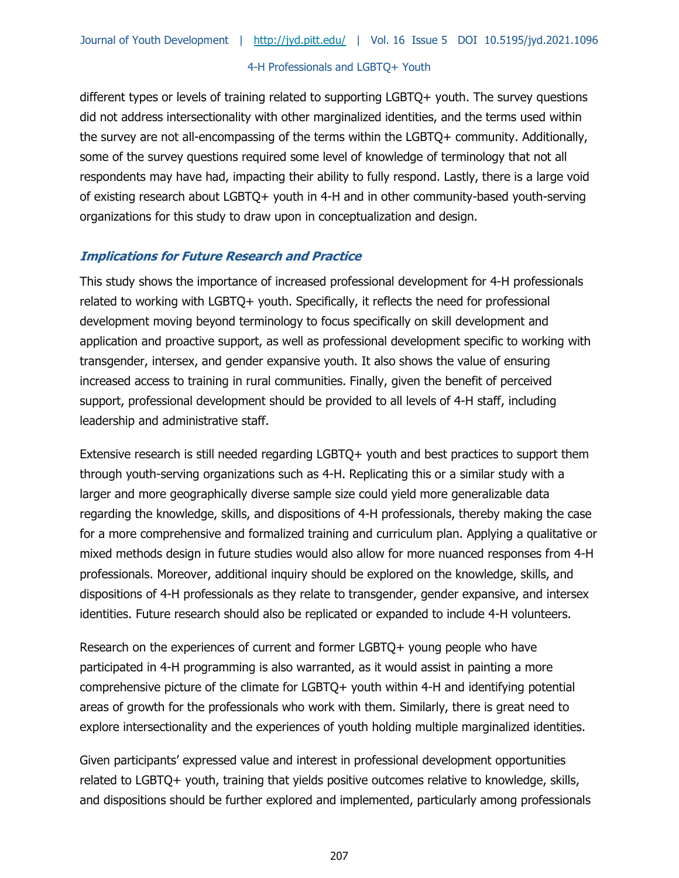different types or levels of training related to supporting LGBTQ+ youth. The survey questions did not address intersectionality with other marginalized identities, and the terms used within the survey are not all-encompassing of the terms within the LGBTQ+ community. Additionally, some of the survey questions required some level of knowledge of terminology that not all respondents may have had, impacting their ability to fully respond. Lastly, there is a large void of existing research about LGBTQ+ youth in 4-H and in other community-based youth-serving organizations for this study to draw upon in conceptualization and design.

# **Implications for Future Research and Practice**

This study shows the importance of increased professional development for 4-H professionals related to working with LGBTQ+ youth. Specifically, it reflects the need for professional development moving beyond terminology to focus specifically on skill development and application and proactive support, as well as professional development specific to working with transgender, intersex, and gender expansive youth. It also shows the value of ensuring increased access to training in rural communities. Finally, given the benefit of perceived support, professional development should be provided to all levels of 4-H staff, including leadership and administrative staff.

Extensive research is still needed regarding LGBTQ+ youth and best practices to support them through youth-serving organizations such as 4-H. Replicating this or a similar study with a larger and more geographically diverse sample size could yield more generalizable data regarding the knowledge, skills, and dispositions of 4-H professionals, thereby making the case for a more comprehensive and formalized training and curriculum plan. Applying a qualitative or mixed methods design in future studies would also allow for more nuanced responses from 4-H professionals. Moreover, additional inquiry should be explored on the knowledge, skills, and dispositions of 4-H professionals as they relate to transgender, gender expansive, and intersex identities. Future research should also be replicated or expanded to include 4-H volunteers.

Research on the experiences of current and former LGBTQ+ young people who have participated in 4-H programming is also warranted, as it would assist in painting a more comprehensive picture of the climate for LGBTQ+ youth within 4-H and identifying potential areas of growth for the professionals who work with them. Similarly, there is great need to explore intersectionality and the experiences of youth holding multiple marginalized identities.

Given participants' expressed value and interest in professional development opportunities related to LGBTQ+ youth, training that yields positive outcomes relative to knowledge, skills, and dispositions should be further explored and implemented, particularly among professionals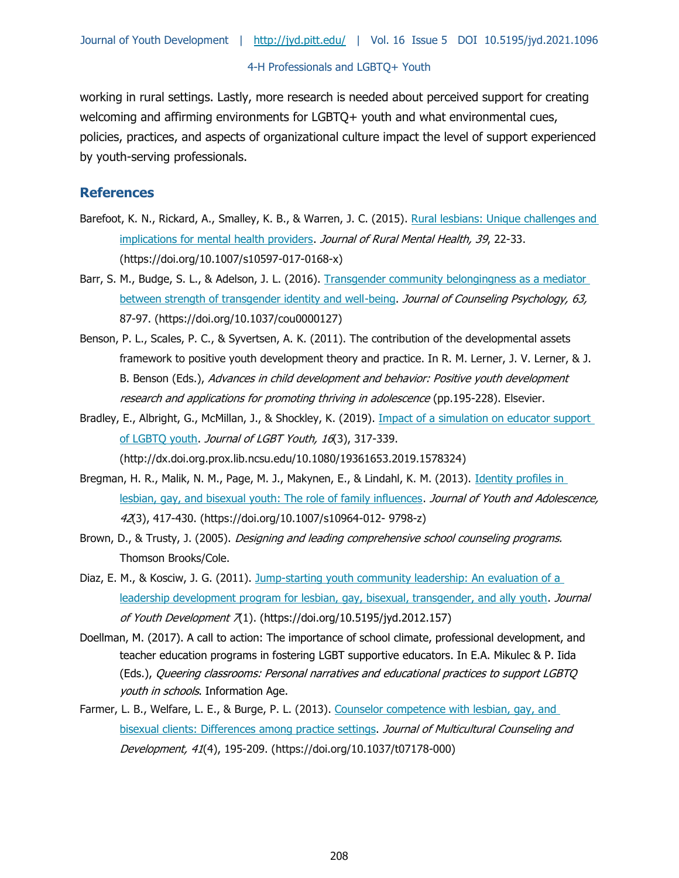working in rural settings. Lastly, more research is needed about perceived support for creating welcoming and affirming environments for LGBTQ+ youth and what environmental cues, policies, practices, and aspects of organizational culture impact the level of support experienced by youth-serving professionals.

### **References**

- Barefoot, K. N., Rickard, A., Smalley, K. B., & Warren, J. C. (2015). [Rural lesbians: Unique challenges and](https://doi.org/10.1007/s10597-017-0168-x)  [implications for mental health providers.](https://doi.org/10.1007/s10597-017-0168-x) Journal of Rural Mental Health, 39, 22-33. (https://doi.org/10.1007/s10597-017-0168-x)
- Barr, S. M., Budge, S. L., & Adelson, J. L. (2016). [Transgender community belongingness as a mediator](https://doi.org/10.1037/cou0000127)  [between strength of transgender identity and well-being.](https://doi.org/10.1037/cou0000127) Journal of Counseling Psychology, 63, 87-97. (https://doi.org/10.1037/cou0000127)
- Benson, P. L., Scales, P. C., & Syvertsen, A. K. (2011). The contribution of the developmental assets framework to positive youth development theory and practice. In R. M. Lerner, J. V. Lerner, & J. B. Benson (Eds.), Advances in child development and behavior: Positive youth development research and applications for promoting thriving in adolescence (pp.195-228). Elsevier.
- Bradley, E., Albright, G., McMillan, J., & Shockley, K. (2019). [Impact of a simulation on educator support](http://dx.doi.org.prox.lib.ncsu.edu/10.1080/19361653.2019.1578324)  [of LGBTQ youth.](http://dx.doi.org.prox.lib.ncsu.edu/10.1080/19361653.2019.1578324) Journal of LGBT Youth, 16(3), 317-339. (http://dx.doi.org.prox.lib.ncsu.edu/10.1080/19361653.2019.1578324)
- Bregman, H. R., Malik, N. M., Page, M. J., Makynen, E., & Lindahl, K. M. (2013). Identity profiles in [lesbian, gay, and bisexual youth: The role of family influences.](https://doi.org/10.1007/s10964-012-%209798-z) Journal of Youth and Adolescence, 42(3), 417-430. (https://doi.org/10.1007/s10964-012- 9798-z)
- Brown, D., & Trusty, J. (2005). *Designing and leading comprehensive school counseling programs.* Thomson Brooks/Cole.
- Diaz, E. M., & Kosciw, J. G. (2011). [Jump-starting youth community leadership: An evaluation of a](https://doi.org/10.5195/jyd.2012.157)  [leadership development program for lesbian, gay, bisexual, transgender, and ally youth.](https://doi.org/10.5195/jyd.2012.157) Journal of Youth Development  $\bar{\chi}$ 1). (https://doi.org/10.5195/jyd.2012.157)
- Doellman, M. (2017). A call to action: The importance of school climate, professional development, and teacher education programs in fostering LGBT supportive educators. In E.A. Mikulec & P. Iida (Eds.), Queering classrooms: Personal narratives and educational practices to support LGBTQ youth in schools. Information Age.
- Farmer, L. B., Welfare, L. E., & Burge, P. L. (2013). Counselor competence with lesbian, gay, and [bisexual clients: Differences among practice settings.](https://doi.org/10.1037/t07178-000) Journal of Multicultural Counseling and Development, 41(4), 195-209. (https://doi.org/10.1037/t07178-000)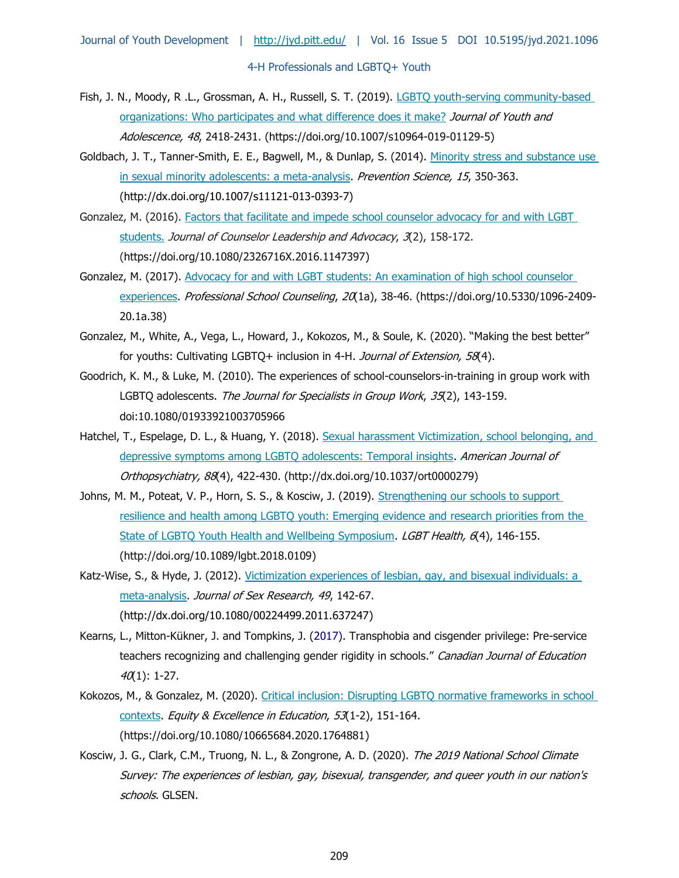- Fish, J. N., Moody, R .L., Grossman, A. H., Russell, S. T. (2019). [LGBTQ youth-serving community-based](https://doi.org/10.1007/s10964-019-01129-5)  [organizations: Who participates and what difference does it make?](https://doi.org/10.1007/s10964-019-01129-5) Journal of Youth and Adolescence, 48, 2418-2431. (https://doi.org/10.1007/s10964-019-01129-5)
- Goldbach, J. T., Tanner-Smith, E. E., Bagwell, M., & Dunlap, S. (2014). Minority stress and substance use [in sexual minority adolescents: a meta-analysis.](http://dx.doi.org/10.1007/s11121-013-0393-7) Prevention Science, 15, 350-363. (http://dx.doi.org/10.1007/s11121-013-0393-7)
- Gonzalez, M. (2016). [Factors that facilitate and impede school counselor advocacy for and with LGBT](https://doi.org/10.1080/2326716X.2016.1147397)  [students.](https://doi.org/10.1080/2326716X.2016.1147397) Journal of Counselor Leadership and Advocacy, 3(2), 158-172. (https://doi.org/10.1080/2326716X.2016.1147397)
- Gonzalez, M. (2017). [Advocacy for and with LGBT students: An examination of high school counselor](https://doi.org/10.5330/1096-2409-20.1a.38)  [experiences.](https://doi.org/10.5330/1096-2409-20.1a.38) Professional School Counseling, 20(1a), 38-46. (https://doi.org/10.5330/1096-2409-20.1a.38)
- Gonzalez, M., White, A., Vega, L., Howard, J., Kokozos, M., & Soule, K. (2020). "Making the best better" for youths: Cultivating LGBTQ+ inclusion in 4-H. Journal of Extension, 58(4).
- Goodrich, K. M., & Luke, M. (2010). The experiences of school-counselors-in-training in group work with LGBTQ adolescents. The Journal for Specialists in Group Work, 35(2), 143-159. doi:10.1080/01933921003705966
- Hatchel, T., Espelage, D. L., & Huang, Y. (2018). Sexual harassment Victimization, school belonging, and [depressive symptoms among LGBTQ adolescents: Temporal insights.](http://dx.doi.org/10.1037/ort0000279) American Journal of Orthopsychiatry, 88(4), 422-430. (http://dx.doi.org/10.1037/ort0000279)
- Johns, M. M., Poteat, V. P., Horn, S. S., & Kosciw, J. (2019). Strengthening our schools to support [resilience and health among LGBTQ youth: Emerging evidence and research priorities from the](http://doi.org/10.1089/lgbt.2018.0109)  [State of LGBTQ Youth Health and Wellbeing Symposium.](http://doi.org/10.1089/lgbt.2018.0109) LGBT Health, 6(4), 146-155. (http://doi.org/10.1089/lgbt.2018.0109)
- Katz-Wise, S., & Hyde, J. (2012). Victimization experiences of lesbian, gay, and bisexual individuals: a [meta-analysis.](https://doi.org/10.1080/00224499.2011.637247) Journal of Sex Research, 49, 142-67. (http://dx.doi.org/10.1080/00224499.2011.637247)
- Kearns, L., Mitton-Kükner, J. and Tompkins, J. (2017). Transphobia and cisgender privilege: Pre-service teachers recognizing and challenging gender rigidity in schools." Canadian Journal of Education  $40(1)$ : 1-27.
- Kokozos, M., & Gonzalez, M. (2020). [Critical inclusion: Disrupting LGBTQ normative frameworks in school](https://doi.org/10.1080/10665684.2020.1764881)  [contexts.](https://doi.org/10.1080/10665684.2020.1764881) Equity & Excellence in Education, 53(1-2), 151-164. (https://doi.org/10.1080/10665684.2020.1764881)
- Kosciw, J. G., Clark, C.M., Truong, N. L., & Zongrone, A. D. (2020). The 2019 National School Climate Survey: The experiences of lesbian, gay, bisexual, transgender, and queer youth in our nation's schools. GLSEN.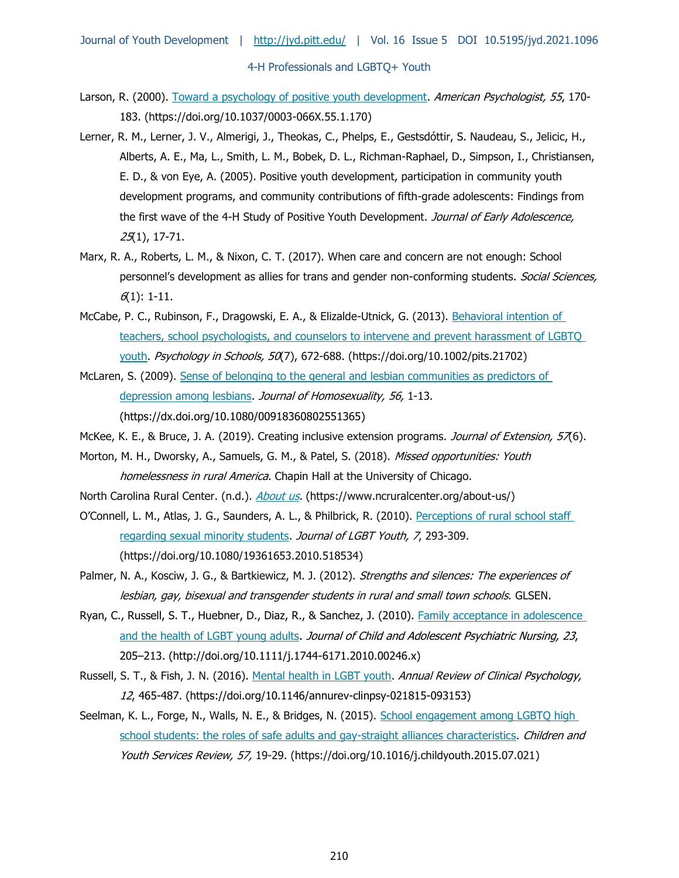- Larson, R. (2000). [Toward a psychology of positive youth development.](https://doi.org/10.1037/0003-066X.55.1.170) American Psychologist, 55, 170-183. (https://doi.org/10.1037/0003-066X.55.1.170)
- Lerner, R. M., Lerner, J. V., Almerigi, J., Theokas, C., Phelps, E., Gestsdóttir, S. Naudeau, S., Jelicic, H., Alberts, A. E., Ma, L., Smith, L. M., Bobek, D. L., Richman-Raphael, D., Simpson, I., Christiansen, E. D., & von Eye, A. (2005). Positive youth development, participation in community youth development programs, and community contributions of fifth-grade adolescents: Findings from the first wave of the 4-H Study of Positive Youth Development. Journal of Early Adolescence, 25(1), 17-71.
- Marx, R. A., Roberts, L. M., & Nixon, C. T. (2017). When care and concern are not enough: School personnel's development as allies for trans and gender non-conforming students. Social Sciences,  $6(1)$ : 1-11.
- McCabe, P. C., Rubinson, F., Dragowski, E. A., & Elizalde-Utnick, G. (2013). Behavioral intention of [teachers, school psychologists, and counselors to intervene and prevent harassment of LGBTQ](https://doi.org/10.1002/pits.21702)  [youth.](https://doi.org/10.1002/pits.21702) Psychology in Schools, 50(7), 672-688. (https://doi.org/10.1002/pits.21702)
- McLaren, S. (2009). [Sense of belonging to the general and lesbian communities as predictors of](http://dx.doi.org/10.1080/00918360802551365)  [depression among lesbians.](http://dx.doi.org/10.1080/00918360802551365) Journal of Homosexuality, 56, 1-13. (https://dx.doi.org/10.1080/00918360802551365)
- McKee, K. E., & Bruce, J. A. (2019). Creating inclusive extension programs. Journal of Extension, 57(6).
- Morton, M. H., Dworsky, A., Samuels, G. M., & Patel, S. (2018). Missed opportunities: Youth homelessness in rural America. Chapin Hall at the University of Chicago.
- North Carolina Rural Center. (n.d.). [About us.](https://www.ncruralcenter.org/about-us/) (https://www.ncruralcenter.org/about-us/)
- O'Connell, L. M., Atlas, J. G., Saunders, A. L., & Philbrick, R. (2010). Perceptions of rural school staff [regarding sexual minority students.](https://doi.org/10.1080/19361653.2010.518534) Journal of LGBT Youth, 7, 293-309. (https://doi.org/10.1080/19361653.2010.518534)
- Palmer, N. A., Kosciw, J. G., & Bartkiewicz, M. J. (2012). Strengths and silences: The experiences of lesbian, gay, bisexual and transgender students in rural and small town schools. GLSEN.
- Ryan, C., Russell, S. T., Huebner, D., Diaz, R., & Sanchez, J. (2010). [Family acceptance in](http://doi.org/10.1111/j.1744-6171.2010.00246.x) adolescence [and the health of LGBT young adults.](http://doi.org/10.1111/j.1744-6171.2010.00246.x) Journal of Child and Adolescent Psychiatric Nursing, 23, 205–213. (http://doi.org/10.1111/j.1744-6171.2010.00246.x)
- Russell, S. T., & Fish, J. N. (2016). [Mental health in LGBT youth.](https://doi.org/10.1146/annurev-clinpsy-021815-093153) Annual Review of Clinical Psychology, 12, 465-487. (https://doi.org/10.1146/annurev-clinpsy-021815-093153)
- Seelman, K. L., Forge, N., Walls, N. E., & Bridges, N. (2015). [School engagement among LGBTQ high](https://doi.org/10.1016/j.childyouth.2015.07.021)  [school students: the roles of safe adults and gay-straight alliances characteristics.](https://doi.org/10.1016/j.childyouth.2015.07.021) Children and Youth Services Review, 57, 19-29. (https://doi.org/10.1016/j.childyouth.2015.07.021)